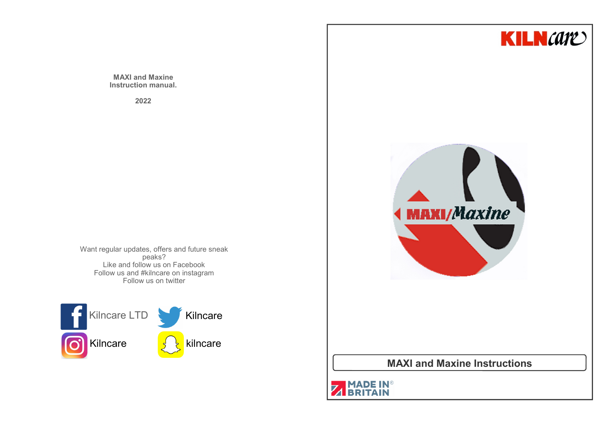**MAXI and Maxine Instruction manual.**

**2022**

Want regular updates, offers and future sneak peaks? Like and follow us on Facebook Follow us and #kilncare on instagramFollow us on twitter



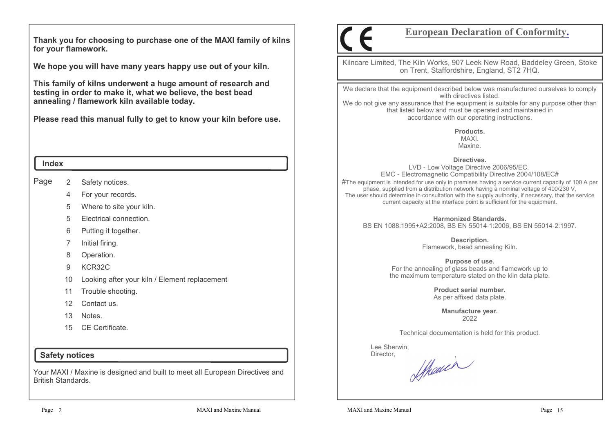**Thank you for choosing to purchase one of the MAXI family of kilns for your flamework.**

**We hope you will have many years happy use out of your kiln.** 

**This family of kilns underwent a huge amount of research and testing in order to make it, what we believe, the best bead annealing / flamework kiln available today.**

**Please read this manual fully to get to know your kiln before use.**

#### **Index**

Page 2Safety notices.

- 4For your records.
- 5Where to site your kiln.
- 5Electrical connection.
- 6Putting it together.
- 7Initial firing.
- 8Operation.
- 9KCR32C
- 10Looking after your kiln / Element replacement
- 11Trouble shooting.
- 12Contact us.
- 13Notes.
- 15 CE Certificate.

## **Safety notices**

Your MAXI / Maxine is designed and built to meet all European Directives and British Standards.

# **European Declaration of Conformity.**

Kilncare Limited, The Kiln Works, 907 Leek New Road, Baddeley Green, Stoke on Trent, Staffordshire, England, ST2 7HQ.

We declare that the equipment described below was manufactured ourselves to comply with directives listed.

 We do not give any assurance that the equipment is suitable for any purpose other than that listed below and must be operated and maintained in accordance with our operating instructions.

> **Products.**MAXI.Maxine.

**Directives.**

 LVD - Low Voltage Directive 2006/95/EC. EMC - Electromagnetic Compatibility Directive 2004/108/EC# $\#$ The equipment is intended for use only in premises having a service current capacity of 100 A per phase, supplied from a distribution network having a nominal voltage of 400/230 V, The user should determine in consultation with the supply authority, if necessary, that the service current capacity at the interface point is sufficient for the equipment.

**Harmonized Standards.**BS EN 1088:1995+A2:2008, BS EN 55014-1:2006, BS EN 55014-2:1997.

> **Description.** Flamework, bead annealing Kiln.

**Purpose of use.** For the annealing of glass beads and flamework up to the maximum temperature stated on the kiln data plate.

> **Product serial number.**As per affixed data plate.

> > **Manufacture year.**2022

Technical documentation is held for this product.

 Lee Sherwin,Director,

Shauen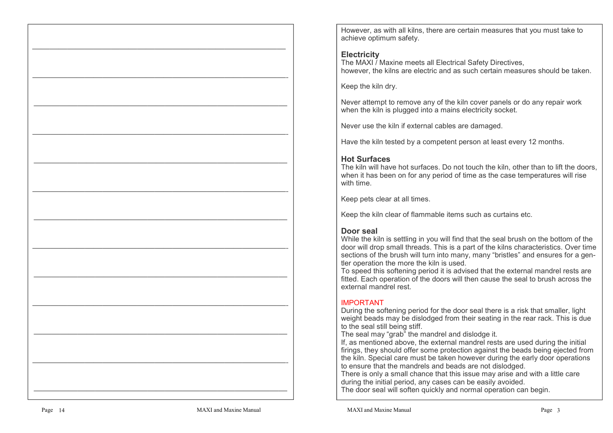However, as with all kilns, there are certain measures that you must take to achieve optimum safety.

# **Electricity**

 The MAXI / Maxine meets all Electrical Safety Directives, however, the kilns are electric and as such certain measures should be taken.

Keep the kiln dry.

Never attempt to remove any of the kiln cover panels or do any repair work when the kiln is plugged into a mains electricity socket.

Never use the kiln if external cables are damaged.

Have the kiln tested by a competent person at least every 12 months.

# **Hot Surfaces**

 The kiln will have hot surfaces. Do not touch the kiln, other than to lift the doors, when it has been on for any period of time as the case temperatures will rise with time.

Keep pets clear at all times.

Keep the kiln clear of flammable items such as curtains etc.

# **Door seal**

 While the kiln is settling in you will find that the seal brush on the bottom of the door will drop small threads. This is a part of the kilns characteristics. Over time sections of the brush will turn into many, many "bristles" and ensures for a gentler operation the more the kiln is used.

 To speed this softening period it is advised that the external mandrel rests are fitted. Each operation of the doors will then cause the seal to brush across the external mandrel rest.

# IMPORTANT

 During the softening period for the door seal there is a risk that smaller, light weight beads may be dislodged from their seating in the rear rack. This is due to the seal still being stiff.

The seal may "grab" the mandrel and dislodge it.

 If, as mentioned above, the external mandrel rests are used during the initial firings, they should offer some protection against the beads being ejected from the kiln. Special care must be taken however during the early door operations to ensure that the mandrels and beads are not dislodged.

 There is only a small chance that this issue may arise and with a little care during the initial period, any cases can be easily avoided.

The door seal will soften quickly and normal operation can begin.

—————————————————————————————

—————————————————————————————-

—————————————————————————————

—————————————————————————————-

—————————————————————————————

—————————————————————————————-

—————————————————————————————

—————————————————————————————-

—————————————————————————————

—————————————————————————————-

—————————————————————————————

—————————————————————————————-

—————————————————————————————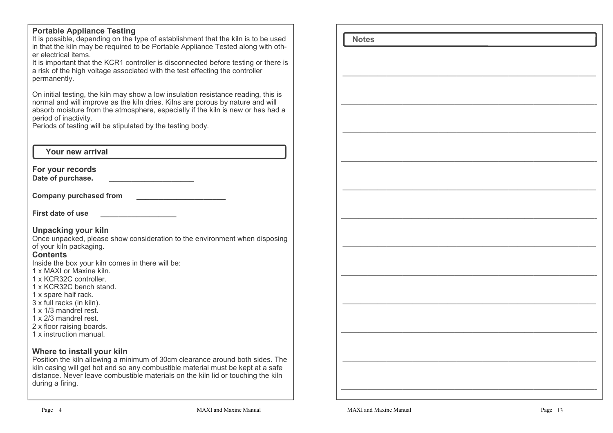# **Portable Appliance Testing**

 It is possible, depending on the type of establishment that the kiln is to be used in that the kiln may be required to be Portable Appliance Tested along with other electrical items.

 It is important that the KCR1 controller is disconnected before testing or there is a risk of the high voltage associated with the test effecting the controller permanently.

On initial testing, the kiln may show a low insulation resistance reading, this is normal and will improve as the kiln dries. Kilns are porous by nature and will absorb moisture from the atmosphere, especially if the kiln is new or has had a period of inactivity.

Periods of testing will be stipulated by the testing body.

# **Your new arrival**

**For your records**

**Date of purchase. \_\_\_\_\_\_\_\_\_\_\_\_\_\_\_\_\_\_\_**

**Company purchased from \_\_\_\_\_\_\_\_\_\_\_\_\_\_\_\_\_\_\_\_**

**First date of use** 

### **Unpacking your kiln**

 Once unpacked, please show consideration to the environment when disposing of your kiln packaging.

#### **Contents**

Inside the box your kiln comes in there will be:

- 1 x MAXI or Maxine kiln.
- 1 x KCR32C controller.
- 1 x KCR32C bench stand.
- 1 x spare half rack.
- 3 x full racks (in kiln).
- 1 x 1/3 mandrel rest.
- 1 x 2/3 mandrel rest.
- 2 x floor raising boards.
- 1 x instruction manual.

### **Where to install your kiln**

 Position the kiln allowing a minimum of 30cm clearance around both sides. The kiln casing will get hot and so any combustible material must be kept at a safe distance. Never leave combustible materials on the kiln lid or touching the kiln during a firing.

 **Notes**————————————————————————————— —————————————————————————————- ————————————————————————————— —————————————————————————————- ————————————————————————————— —————————————————————————————- ————————————————————————————— —————————————————————————————- ————————————————————————————— —————————————————————————————- ————————————————————————————— —————————————————————————————-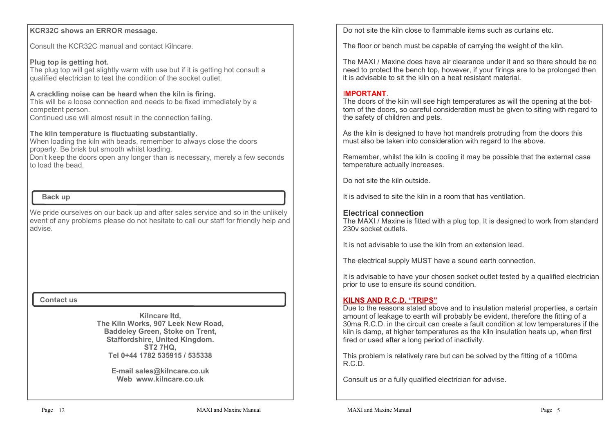## **KCR32C shows an ERROR message.**

Consult the KCR32C manual and contact Kilncare.

#### **Plug top is getting hot.**

 The plug top will get slightly warm with use but if it is getting hot consult a qualified electrician to test the condition of the socket outlet.

#### **A crackling noise can be heard when the kiln is firing.**

 This will be a loose connection and needs to be fixed immediately by a competent person.

Continued use will almost result in the connection failing.

#### **The kiln temperature is fluctuating substantially.**

 When loading the kiln with beads, remember to always close the doors properly. Be brisk but smooth whilst loading.

 Don't keep the doors open any longer than is necessary, merely a few seconds to load the bead.

# **Back up**

We pride ourselves on our back up and after sales service and so in the unlikely event of any problems please do not hesitate to call our staff for friendly help and advise.

#### **Contact us**

**Kilncare ltd, The Kiln Works, 907 Leek New Road,Baddeley Green, Stoke on Trent, Staffordshire, United Kingdom.ST2 7HQ,Tel 0+44 1782 535915 / 535338**

> **E-mail sales@kilncare.co.ukWeb www.kilncare.co.uk**

Do not site the kiln close to flammable items such as curtains etc.

The floor or bench must be capable of carrying the weight of the kiln.

The MAXI / Maxine does have air clearance under it and so there should be no need to protect the bench top, however, if your firings are to be prolonged then it is advisable to sit the kiln on a heat resistant material.

#### I**MPORTANT**.

 The doors of the kiln will see high temperatures as will the opening at the bottom of the doors, so careful consideration must be given to siting with regard to the safety of children and pets.

As the kiln is designed to have hot mandrels protruding from the doors this must also be taken into consideration with regard to the above.

Remember, whilst the kiln is cooling it may be possible that the external case temperature actually increases.

Do not site the kiln outside.

It is advised to site the kiln in a room that has ventilation.

## **Electrical connection**

 The MAXI / Maxine is fitted with a plug top. It is designed to work from standard 230v socket outlets.

It is not advisable to use the kiln from an extension lead.

The electrical supply MUST have a sound earth connection.

It is advisable to have your chosen socket outlet tested by a qualified electrician prior to use to ensure its sound condition.

#### **KILNS AND R.C.D. "TRIPS"**

 Due to the reasons stated above and to insulation material properties, a certain amount of leakage to earth will probably be evident, therefore the fitting of a 30ma R.C.D. in the circuit can create a fault condition at low temperatures if the kiln is damp, at higher temperatures as the kiln insulation heats up, when first fired or used after a long period of inactivity.

This problem is relatively rare but can be solved by the fitting of a 100ma R.C.D.

Consult us or a fully qualified electrician for advise.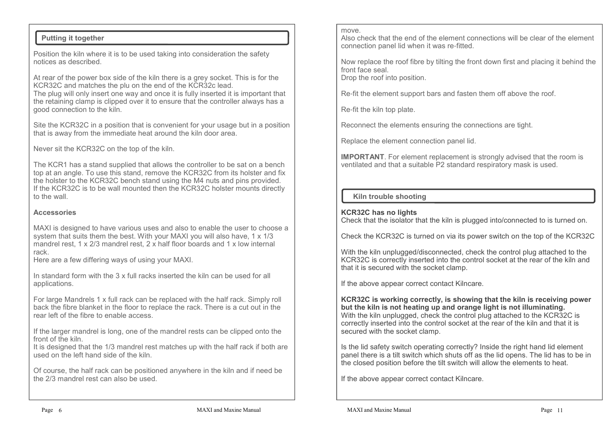# **Putting it together**

Position the kiln where it is to be used taking into consideration the safety notices as described.

At rear of the power box side of the kiln there is a grey socket. This is for the KCR32C and matches the plu on the end of the KCR32c lead.

 The plug will only insert one way and once it is fully inserted it is important that the retaining clamp is clipped over it to ensure that the controller always has a good connection to the kiln.

Site the KCR32C in a position that is convenient for your usage but in a position that is away from the immediate heat around the kiln door area.

Never sit the KCR32C on the top of the kiln.

The KCR1 has a stand supplied that allows the controller to be sat on a bench top at an angle. To use this stand, remove the KCR32C from its holster and fix the holster to the KCR32C bench stand using the M4 nuts and pins provided. If the KCR32C is to be wall mounted then the KCR32C holster mounts directly to the wall.

## **Accessories**

MAXI is designed to have various uses and also to enable the user to choose a system that suits them the best. With your MAXI you will also have, 1 x 1/3 mandrel rest, 1 x 2/3 mandrel rest, 2 x half floor boards and 1 x low internal rack.

Here are a few differing ways of using your MAXI.

In standard form with the 3 x full racks inserted the kiln can be used for all applications.

For large Mandrels 1 x full rack can be replaced with the half rack. Simply roll back the fibre blanket in the floor to replace the rack. There is a cut out in the rear left of the fibre to enable access.

If the larger mandrel is long, one of the mandrel rests can be clipped onto the front of the kiln.

 It is designed that the 1/3 mandrel rest matches up with the half rack if both are used on the left hand side of the kiln.

Of course, the half rack can be positioned anywhere in the kiln and if need be the 2/3 mandrel rest can also be used.

#### move.

 Also check that the end of the element connections will be clear of the element connection panel lid when it was re-fitted.

Now replace the roof fibre by tilting the front down first and placing it behind the front face seal.Drop the roof into position.

Re-fit the element support bars and fasten them off above the roof.

Re-fit the kiln top plate.

Reconnect the elements ensuring the connections are tight.

Replace the element connection panel lid.

**IMPORTANT**. For element replacement is strongly advised that the room is ventilated and that a suitable P2 standard respiratory mask is used.

# **Kiln trouble shooting**

### **KCR32C has no lights**

Check that the isolator that the kiln is plugged into/connected to is turned on.

Check the KCR32C is turned on via its power switch on the top of the KCR32C

With the kiln unplugged/disconnected, check the control plug attached to the KCR32C is correctly inserted into the control socket at the rear of the kiln and that it is secured with the socket clamp.

If the above appear correct contact Kilncare.

**KCR32C is working correctly, is showing that the kiln is receiving power but the kiln is not heating up and orange light is not illuminating.** With the kiln unplugged, check the control plug attached to the KCR32C is correctly inserted into the control socket at the rear of the kiln and that it is secured with the socket clamp.

Is the lid safety switch operating correctly? Inside the right hand lid element panel there is a tilt switch which shuts off as the lid opens. The lid has to be in the closed position before the tilt switch will allow the elements to heat.

If the above appear correct contact Kilncare.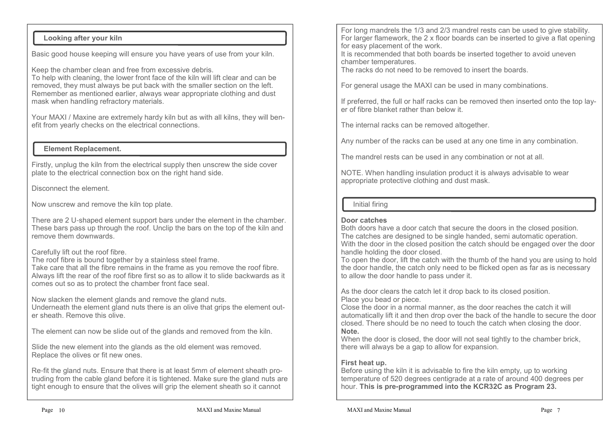# **Looking after your kiln**

Basic good house keeping will ensure you have years of use from your kiln.

Keep the chamber clean and free from excessive debris.

 To help with cleaning, the lower front face of the kiln will lift clear and can be removed, they must always be put back with the smaller section on the left. Remember as mentioned earlier, always wear appropriate clothing and dust mask when handling refractory materials.

Your MAXI / Maxine are extremely hardy kiln but as with all kilns, they will benefit from yearly checks on the electrical connections.

## **Element Replacement.**

Firstly, unplug the kiln from the electrical supply then unscrew the side cover plate to the electrical connection box on the right hand side.

Disconnect the element.

Now unscrew and remove the kiln top plate.

There are 2 U-shaped element support bars under the element in the chamber. These bars pass up through the roof. Unclip the bars on the top of the kiln and remove them downwards.

### Carefully lift out the roof fibre.

The roof fibre is bound together by a stainless steel frame.

 Take care that all the fibre remains in the frame as you remove the roof fibre. Always lift the rear of the roof fibre first so as to allow it to slide backwards as it comes out so as to protect the chamber front face seal.

Now slacken the element glands and remove the gland nuts.

 Underneath the element gland nuts there is an olive that grips the element outer sheath. Remove this olive.

The element can now be slide out of the glands and removed from the kiln.

Slide the new element into the glands as the old element was removed.Replace the olives or fit new ones.

Re-fit the gland nuts. Ensure that there is at least 5mm of element sheath protruding from the cable gland before it is tightened. Make sure the gland nuts are tight enough to ensure that the olives will grip the element sheath so it cannot

For long mandrels the 1/3 and 2/3 mandrel rests can be used to give stability. For larger flamework, the 2 x floor boards can be inserted to give a flat opening for easy placement of the work.

 It is recommended that both boards be inserted together to avoid uneven chamber temperatures.

The racks do not need to be removed to insert the boards.

For general usage the MAXI can be used in many combinations.

If preferred, the full or half racks can be removed then inserted onto the top layer of fibre blanket rather than below it.

The internal racks can be removed altogether.

Any number of the racks can be used at any one time in any combination.

The mandrel rests can be used in any combination or not at all.

NOTE. When handling insulation product it is always advisable to wear appropriate protective clothing and dust mask.

# Initial firing

## **Door catches**

 Both doors have a door catch that secure the doors in the closed position. The catches are designed to be single handed, semi automatic operation. With the door in the closed position the catch should be engaged over the door handle holding the door closed.

 To open the door, lift the catch with the thumb of the hand you are using to hold the door handle, the catch only need to be flicked open as far as is necessary to allow the door handle to pass under it.

As the door clears the catch let it drop back to its closed position.Place you bead or piece.

 Close the door in a normal manner, as the door reaches the catch it will automatically lift it and then drop over the back of the handle to secure the door closed. There should be no need to touch the catch when closing the door.**Note.**

 When the door is closed, the door will not seal tightly to the chamber brick, there will always be a gap to allow for expansion.

# **First heat up.**

 Before using the kiln it is advisable to fire the kiln empty, up to working temperature of 520 degrees centigrade at a rate of around 400 degrees per hour. **This is pre-programmed into the KCR32C as Program 23.**